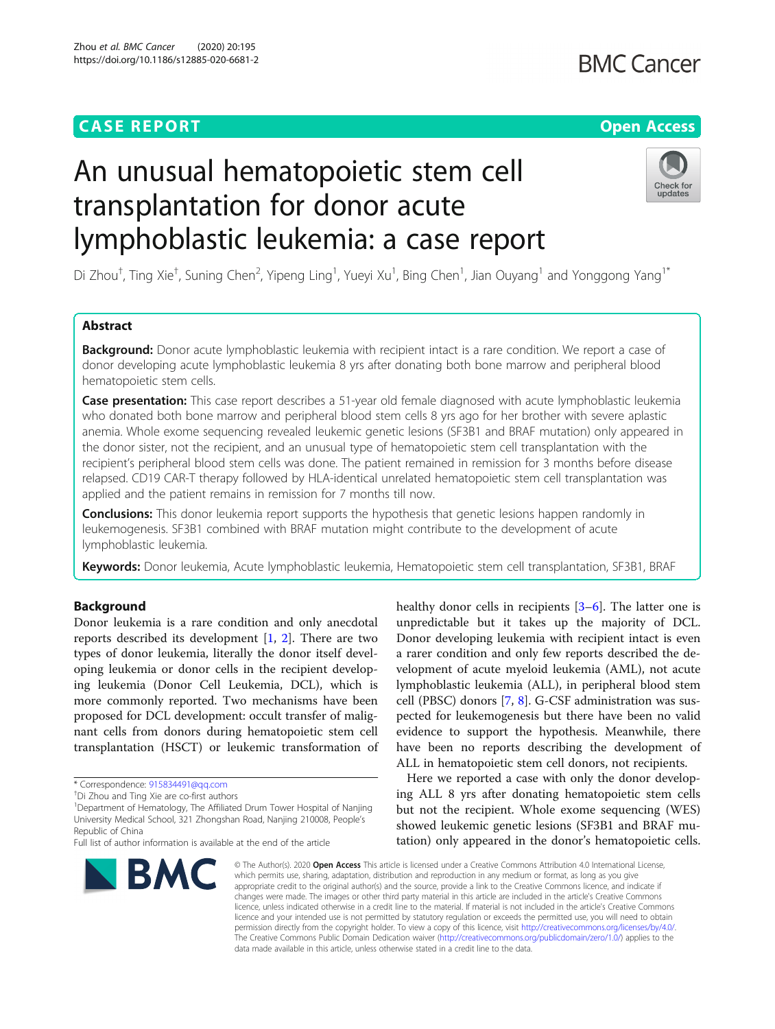# **CASE REPORT CASE ACCESS**

# **BMC Cancer**

# An unusual hematopoietic stem cell transplantation for donor acute lymphoblastic leukemia: a case report



Di Zhou<sup>†</sup>, Ting Xie<sup>†</sup>, Suning Chen<sup>2</sup>, Yipeng Ling<sup>1</sup>, Yueyi Xu<sup>1</sup>, Bing Chen<sup>1</sup>, Jian Ouyang<sup>1</sup> and Yonggong Yang<sup>1\*</sup>

# Abstract

Background: Donor acute lymphoblastic leukemia with recipient intact is a rare condition. We report a case of donor developing acute lymphoblastic leukemia 8 yrs after donating both bone marrow and peripheral blood hematopoietic stem cells.

Case presentation: This case report describes a 51-year old female diagnosed with acute lymphoblastic leukemia who donated both bone marrow and peripheral blood stem cells 8 yrs ago for her brother with severe aplastic anemia. Whole exome sequencing revealed leukemic genetic lesions (SF3B1 and BRAF mutation) only appeared in the donor sister, not the recipient, and an unusual type of hematopoietic stem cell transplantation with the recipient's peripheral blood stem cells was done. The patient remained in remission for 3 months before disease relapsed. CD19 CAR-T therapy followed by HLA-identical unrelated hematopoietic stem cell transplantation was applied and the patient remains in remission for 7 months till now.

**Conclusions:** This donor leukemia report supports the hypothesis that genetic lesions happen randomly in leukemogenesis. SF3B1 combined with BRAF mutation might contribute to the development of acute lymphoblastic leukemia.

Keywords: Donor leukemia, Acute lymphoblastic leukemia, Hematopoietic stem cell transplantation, SF3B1, BRAF

## Background

Donor leukemia is a rare condition and only anecdotal reports described its development [[1](#page-3-0), [2](#page-3-0)]. There are two types of donor leukemia, literally the donor itself developing leukemia or donor cells in the recipient developing leukemia (Donor Cell Leukemia, DCL), which is more commonly reported. Two mechanisms have been proposed for DCL development: occult transfer of malignant cells from donors during hematopoietic stem cell transplantation (HSCT) or leukemic transformation of

<sup>1</sup>Department of Hematology, The Affiliated Drum Tower Hospital of Nanjing University Medical School, 321 Zhongshan Road, Nanjing 210008, People's Republic of China

Full list of author information is available at the end of the article



healthy donor cells in recipients [[3](#page-3-0)–[6](#page-4-0)]. The latter one is unpredictable but it takes up the majority of DCL. Donor developing leukemia with recipient intact is even a rarer condition and only few reports described the development of acute myeloid leukemia (AML), not acute lymphoblastic leukemia (ALL), in peripheral blood stem cell (PBSC) donors [\[7](#page-4-0), [8\]](#page-4-0). G-CSF administration was suspected for leukemogenesis but there have been no valid evidence to support the hypothesis. Meanwhile, there have been no reports describing the development of ALL in hematopoietic stem cell donors, not recipients.

Here we reported a case with only the donor developing ALL 8 yrs after donating hematopoietic stem cells but not the recipient. Whole exome sequencing (WES) showed leukemic genetic lesions (SF3B1 and BRAF mutation) only appeared in the donor's hematopoietic cells.

© The Author(s), 2020 **Open Access** This article is licensed under a Creative Commons Attribution 4.0 International License, which permits use, sharing, adaptation, distribution and reproduction in any medium or format, as long as you give appropriate credit to the original author(s) and the source, provide a link to the Creative Commons licence, and indicate if changes were made. The images or other third party material in this article are included in the article's Creative Commons licence, unless indicated otherwise in a credit line to the material. If material is not included in the article's Creative Commons licence and your intended use is not permitted by statutory regulation or exceeds the permitted use, you will need to obtain permission directly from the copyright holder. To view a copy of this licence, visit [http://creativecommons.org/licenses/by/4.0/.](http://creativecommons.org/licenses/by/4.0/) The Creative Commons Public Domain Dedication waiver [\(http://creativecommons.org/publicdomain/zero/1.0/](http://creativecommons.org/publicdomain/zero/1.0/)) applies to the data made available in this article, unless otherwise stated in a credit line to the data.

<sup>\*</sup> Correspondence: [915834491@qq.com](mailto:915834491@qq.com) †

<sup>&</sup>lt;sup>+</sup>Di Zhou and Ting Xie are co-first authors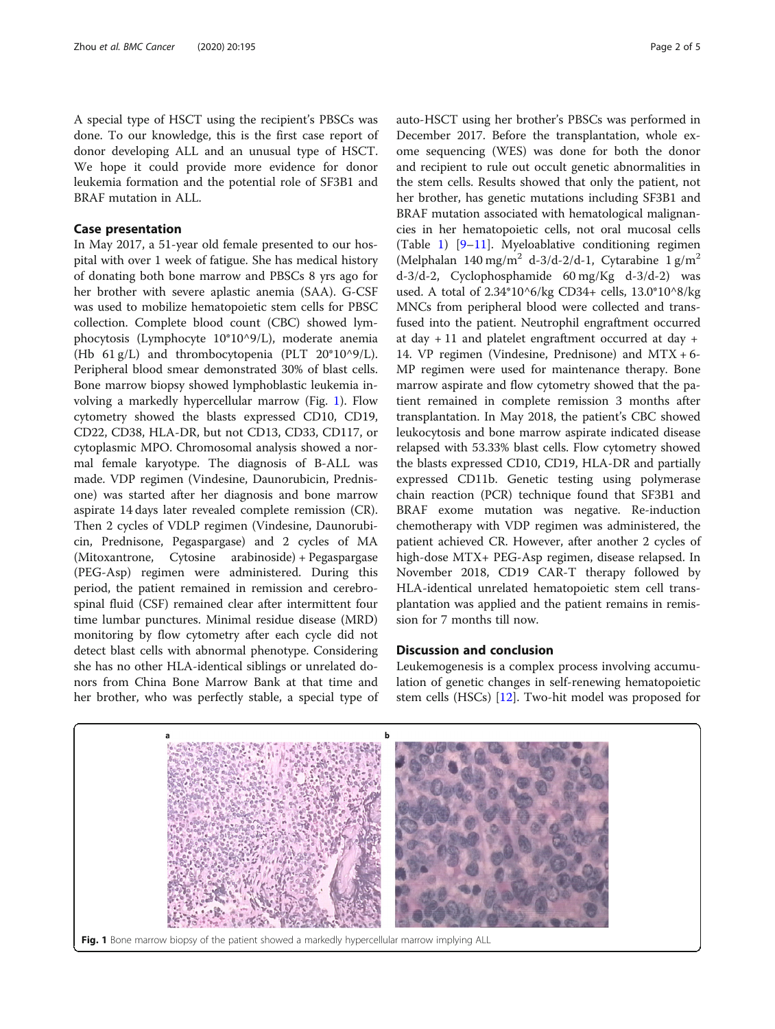A special type of HSCT using the recipient's PBSCs was done. To our knowledge, this is the first case report of donor developing ALL and an unusual type of HSCT. We hope it could provide more evidence for donor leukemia formation and the potential role of SF3B1 and BRAF mutation in ALL.

### Case presentation

In May 2017, a 51-year old female presented to our hospital with over 1 week of fatigue. She has medical history of donating both bone marrow and PBSCs 8 yrs ago for her brother with severe aplastic anemia (SAA). G-CSF was used to mobilize hematopoietic stem cells for PBSC collection. Complete blood count (CBC) showed lymphocytosis (Lymphocyte 10\*10^9/L), moderate anemia (Hb 61 g/L) and thrombocytopenia (PLT 20\*10^9/L). Peripheral blood smear demonstrated 30% of blast cells. Bone marrow biopsy showed lymphoblastic leukemia involving a markedly hypercellular marrow (Fig. 1). Flow cytometry showed the blasts expressed CD10, CD19, CD22, CD38, HLA-DR, but not CD13, CD33, CD117, or cytoplasmic MPO. Chromosomal analysis showed a normal female karyotype. The diagnosis of B-ALL was made. VDP regimen (Vindesine, Daunorubicin, Prednisone) was started after her diagnosis and bone marrow aspirate 14 days later revealed complete remission (CR). Then 2 cycles of VDLP regimen (Vindesine, Daunorubicin, Prednisone, Pegaspargase) and 2 cycles of MA (Mitoxantrone, Cytosine arabinoside) + Pegaspargase (PEG-Asp) regimen were administered. During this period, the patient remained in remission and cerebrospinal fluid (CSF) remained clear after intermittent four time lumbar punctures. Minimal residue disease (MRD) monitoring by flow cytometry after each cycle did not detect blast cells with abnormal phenotype. Considering she has no other HLA-identical siblings or unrelated donors from China Bone Marrow Bank at that time and her brother, who was perfectly stable, a special type of auto-HSCT using her brother's PBSCs was performed in December 2017. Before the transplantation, whole exome sequencing (WES) was done for both the donor and recipient to rule out occult genetic abnormalities in the stem cells. Results showed that only the patient, not her brother, has genetic mutations including SF3B1 and BRAF mutation associated with hematological malignancies in her hematopoietic cells, not oral mucosal cells (Table [1\)](#page-2-0) [[9](#page-4-0)–[11](#page-4-0)]. Myeloablative conditioning regimen (Melphalan 140 mg/m<sup>2</sup> d-3/d-2/d-1, Cytarabine 1 g/m<sup>2</sup> d-3/d-2, Cyclophosphamide 60 mg/Kg d-3/d-2) was used. A total of 2.34\*10^6/kg CD34+ cells, 13.0\*10^8/kg MNCs from peripheral blood were collected and transfused into the patient. Neutrophil engraftment occurred at day  $+11$  and platelet engraftment occurred at day  $+$ 14. VP regimen (Vindesine, Prednisone) and MTX + 6- MP regimen were used for maintenance therapy. Bone marrow aspirate and flow cytometry showed that the patient remained in complete remission 3 months after transplantation. In May 2018, the patient's CBC showed leukocytosis and bone marrow aspirate indicated disease relapsed with 53.33% blast cells. Flow cytometry showed the blasts expressed CD10, CD19, HLA-DR and partially expressed CD11b. Genetic testing using polymerase chain reaction (PCR) technique found that SF3B1 and BRAF exome mutation was negative. Re-induction chemotherapy with VDP regimen was administered, the patient achieved CR. However, after another 2 cycles of high-dose MTX+ PEG-Asp regimen, disease relapsed. In November 2018, CD19 CAR-T therapy followed by HLA-identical unrelated hematopoietic stem cell transplantation was applied and the patient remains in remission for 7 months till now.

### Discussion and conclusion

Leukemogenesis is a complex process involving accumulation of genetic changes in self-renewing hematopoietic stem cells (HSCs) [\[12](#page-4-0)]. Two-hit model was proposed for

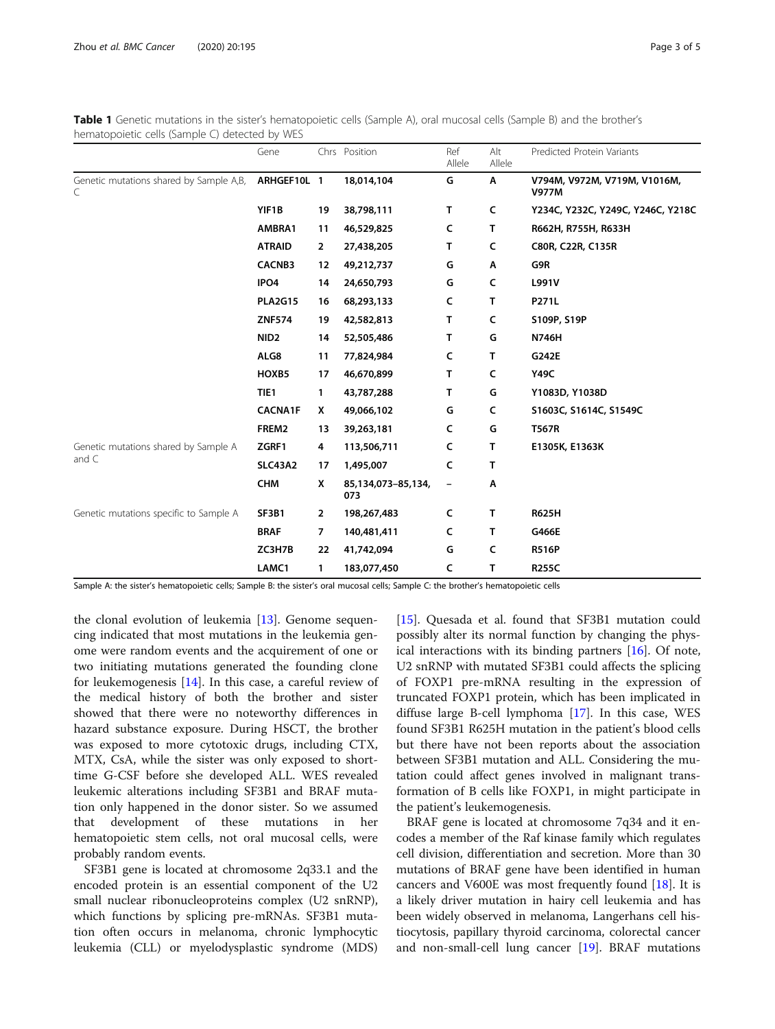|                                               | Gene             |                | Chrs Position             | Ref<br>Allele | Alt<br>Allele | Predicted Protein Variants                   |
|-----------------------------------------------|------------------|----------------|---------------------------|---------------|---------------|----------------------------------------------|
| Genetic mutations shared by Sample A,B,<br>C  | ARHGEF10L 1      |                | 18,014,104                | G             | Α             | V794M, V972M, V719M, V1016M,<br><b>V977M</b> |
|                                               | YIF1B            | 19             | 38,798,111                | T.            | C             | Y234C, Y232C, Y249C, Y246C, Y218C            |
|                                               | AMBRA1           | 11             | 46,529,825                | c             | T.            | R662H, R755H, R633H                          |
|                                               | <b>ATRAID</b>    | $\overline{2}$ | 27,438,205                | т             | C             | C80R, C22R, C135R                            |
|                                               | <b>CACNB3</b>    | 12             | 49,212,737                | G             | Α             | G9R                                          |
|                                               | IPO4             | 14             | 24,650,793                | G             | C             | L991V                                        |
|                                               | <b>PLA2G15</b>   | 16             | 68,293,133                | c             | т             | P271L                                        |
|                                               | <b>ZNF574</b>    | 19             | 42,582,813                | т             | C             | S109P, S19P                                  |
|                                               | NID <sub>2</sub> | 14             | 52,505,486                | т             | G             | <b>N746H</b>                                 |
|                                               | ALG8             | 11             | 77,824,984                | c             | т             | G242E                                        |
|                                               | HOXB5            | 17             | 46,670,899                | т             | C             | Y49C                                         |
|                                               | TIE1             | $\mathbf{1}$   | 43,787,288                | T.            | G             | Y1083D, Y1038D                               |
|                                               | <b>CACNA1F</b>   | X              | 49,066,102                | G             | C             | S1603C, S1614C, S1549C                       |
|                                               | FREM2            | 13             | 39,263,181                | C             | G             | <b>T567R</b>                                 |
| Genetic mutations shared by Sample A<br>and C | ZGRF1            | 4              | 113,506,711               | c             | т             | E1305K, E1363K                               |
|                                               | <b>SLC43A2</b>   | 17             | 1,495,007                 | c             | т             |                                              |
|                                               | <b>CHM</b>       | x              | 85,134,073-85,134,<br>073 |               | Α             |                                              |
| Genetic mutations specific to Sample A        | SF3B1            | $\overline{2}$ | 198,267,483               | c             | т             | <b>R625H</b>                                 |
|                                               | <b>BRAF</b>      | $\overline{7}$ | 140,481,411               | c             | т             | G466E                                        |
|                                               | ZC3H7B           | 22             | 41,742,094                | G             | C             | <b>R516P</b>                                 |
|                                               | LAMC1            | 1              | 183,077,450               | C             | т             | <b>R255C</b>                                 |

<span id="page-2-0"></span>Table 1 Genetic mutations in the sister's hematopoietic cells (Sample A), oral mucosal cells (Sample B) and the brother's hematopoietic cells (Sample C) detected by WES

Sample A: the sister's hematopoietic cells; Sample B: the sister's oral mucosal cells; Sample C: the brother's hematopoietic cells

the clonal evolution of leukemia [\[13](#page-4-0)]. Genome sequencing indicated that most mutations in the leukemia genome were random events and the acquirement of one or two initiating mutations generated the founding clone for leukemogenesis  $[14]$  $[14]$ . In this case, a careful review of the medical history of both the brother and sister showed that there were no noteworthy differences in hazard substance exposure. During HSCT, the brother was exposed to more cytotoxic drugs, including CTX, MTX, CsA, while the sister was only exposed to shorttime G-CSF before she developed ALL. WES revealed leukemic alterations including SF3B1 and BRAF mutation only happened in the donor sister. So we assumed that development of these mutations in her hematopoietic stem cells, not oral mucosal cells, were probably random events.

SF3B1 gene is located at chromosome 2q33.1 and the encoded protein is an essential component of the U2 small nuclear ribonucleoproteins complex (U2 snRNP), which functions by splicing pre-mRNAs. SF3B1 mutation often occurs in melanoma, chronic lymphocytic leukemia (CLL) or myelodysplastic syndrome (MDS)

[[15\]](#page-4-0). Quesada et al. found that SF3B1 mutation could possibly alter its normal function by changing the physical interactions with its binding partners [[16\]](#page-4-0). Of note, U2 snRNP with mutated SF3B1 could affects the splicing of FOXP1 pre-mRNA resulting in the expression of truncated FOXP1 protein, which has been implicated in diffuse large B-cell lymphoma [[17\]](#page-4-0). In this case, WES found SF3B1 R625H mutation in the patient's blood cells but there have not been reports about the association between SF3B1 mutation and ALL. Considering the mutation could affect genes involved in malignant transformation of B cells like FOXP1, in might participate in the patient's leukemogenesis.

BRAF gene is located at chromosome 7q34 and it encodes a member of the Raf kinase family which regulates cell division, differentiation and secretion. More than 30 mutations of BRAF gene have been identified in human cancers and V600E was most frequently found [\[18\]](#page-4-0). It is a likely driver mutation in hairy cell leukemia and has been widely observed in melanoma, Langerhans cell histiocytosis, papillary thyroid carcinoma, colorectal cancer and non-small-cell lung cancer [[19](#page-4-0)]. BRAF mutations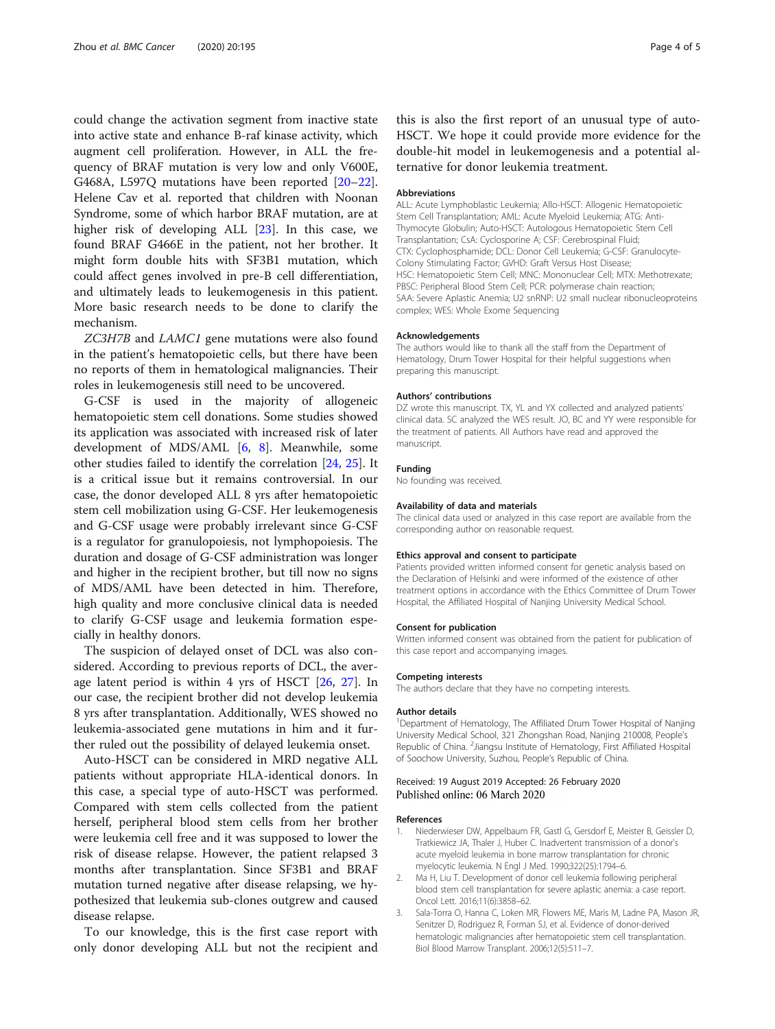<span id="page-3-0"></span>could change the activation segment from inactive state into active state and enhance B-raf kinase activity, which augment cell proliferation. However, in ALL the frequency of BRAF mutation is very low and only V600E, G468A, L597Q mutations have been reported [[20](#page-4-0)–[22](#page-4-0)]. Helene Cav et al. reported that children with Noonan Syndrome, some of which harbor BRAF mutation, are at higher risk of developing ALL [[23\]](#page-4-0). In this case, we found BRAF G466E in the patient, not her brother. It might form double hits with SF3B1 mutation, which could affect genes involved in pre-B cell differentiation, and ultimately leads to leukemogenesis in this patient. More basic research needs to be done to clarify the mechanism.

ZC3H7B and LAMC1 gene mutations were also found in the patient's hematopoietic cells, but there have been no reports of them in hematological malignancies. Their roles in leukemogenesis still need to be uncovered.

G-CSF is used in the majority of allogeneic hematopoietic stem cell donations. Some studies showed its application was associated with increased risk of later development of MDS/AML [[6,](#page-4-0) [8\]](#page-4-0). Meanwhile, some other studies failed to identify the correlation [[24](#page-4-0), [25\]](#page-4-0). It is a critical issue but it remains controversial. In our case, the donor developed ALL 8 yrs after hematopoietic stem cell mobilization using G-CSF. Her leukemogenesis and G-CSF usage were probably irrelevant since G-CSF is a regulator for granulopoiesis, not lymphopoiesis. The duration and dosage of G-CSF administration was longer and higher in the recipient brother, but till now no signs of MDS/AML have been detected in him. Therefore, high quality and more conclusive clinical data is needed to clarify G-CSF usage and leukemia formation especially in healthy donors.

The suspicion of delayed onset of DCL was also considered. According to previous reports of DCL, the average latent period is within 4 yrs of HSCT [[26,](#page-4-0) [27](#page-4-0)]. In our case, the recipient brother did not develop leukemia 8 yrs after transplantation. Additionally, WES showed no leukemia-associated gene mutations in him and it further ruled out the possibility of delayed leukemia onset.

Auto-HSCT can be considered in MRD negative ALL patients without appropriate HLA-identical donors. In this case, a special type of auto-HSCT was performed. Compared with stem cells collected from the patient herself, peripheral blood stem cells from her brother were leukemia cell free and it was supposed to lower the risk of disease relapse. However, the patient relapsed 3 months after transplantation. Since SF3B1 and BRAF mutation turned negative after disease relapsing, we hypothesized that leukemia sub-clones outgrew and caused disease relapse.

To our knowledge, this is the first case report with only donor developing ALL but not the recipient and

this is also the first report of an unusual type of auto-HSCT. We hope it could provide more evidence for the double-hit model in leukemogenesis and a potential alternative for donor leukemia treatment.

#### Abbreviations

ALL: Acute Lymphoblastic Leukemia; Allo-HSCT: Allogenic Hematopoietic Stem Cell Transplantation; AML: Acute Myeloid Leukemia; ATG: Anti-Thymocyte Globulin; Auto-HSCT: Autologous Hematopoietic Stem Cell Transplantation; CsA: Cyclosporine A; CSF: Cerebrospinal Fluid; CTX: Cyclophosphamide; DCL: Donor Cell Leukemia; G-CSF: Granulocyte-Colony Stimulating Factor; GVHD: Graft Versus Host Disease; HSC: Hematopoietic Stem Cell; MNC: Mononuclear Cell; MTX: Methotrexate; PBSC: Peripheral Blood Stem Cell; PCR: polymerase chain reaction; SAA: Severe Aplastic Anemia; U2 snRNP: U2 small nuclear ribonucleoproteins complex; WES: Whole Exome Sequencing

#### Acknowledgements

The authors would like to thank all the staff from the Department of Hematology, Drum Tower Hospital for their helpful suggestions when preparing this manuscript.

#### Authors' contributions

DZ wrote this manuscript. TX, YL and YX collected and analyzed patients' clinical data. SC analyzed the WES result. JO, BC and YY were responsible for the treatment of patients. All Authors have read and approved the manuscript.

#### Funding

No founding was received.

#### Availability of data and materials

The clinical data used or analyzed in this case report are available from the corresponding author on reasonable request.

#### Ethics approval and consent to participate

Patients provided written informed consent for genetic analysis based on the Declaration of Helsinki and were informed of the existence of other treatment options in accordance with the Ethics Committee of Drum Tower Hospital, the Affiliated Hospital of Nanjing University Medical School.

#### Consent for publication

Written informed consent was obtained from the patient for publication of this case report and accompanying images.

#### Competing interests

The authors declare that they have no competing interests.

#### Author details

<sup>1</sup>Department of Hematology, The Affiliated Drum Tower Hospital of Nanjing University Medical School, 321 Zhongshan Road, Nanjing 210008, People's Republic of China. <sup>2</sup> Jiangsu Institute of Hematology, First Affiliated Hospital of Soochow University, Suzhou, People's Republic of China.

#### Received: 19 August 2019 Accepted: 26 February 2020 Published online: 06 March 2020

#### References

- 1. Niederwieser DW, Appelbaum FR, Gastl G, Gersdorf E, Meister B, Geissler D, Tratkiewicz JA, Thaler J, Huber C. Inadvertent transmission of a donor's acute myeloid leukemia in bone marrow transplantation for chronic myelocytic leukemia. N Engl J Med. 1990;322(25):1794–6.
- 2. Ma H, Liu T. Development of donor cell leukemia following peripheral blood stem cell transplantation for severe aplastic anemia: a case report. Oncol Lett. 2016;11(6):3858–62.
- 3. Sala-Torra O, Hanna C, Loken MR, Flowers ME, Maris M, Ladne PA, Mason JR, Senitzer D, Rodriguez R, Forman SJ, et al. Evidence of donor-derived hematologic malignancies after hematopoietic stem cell transplantation. Biol Blood Marrow Transplant. 2006;12(5):511–7.